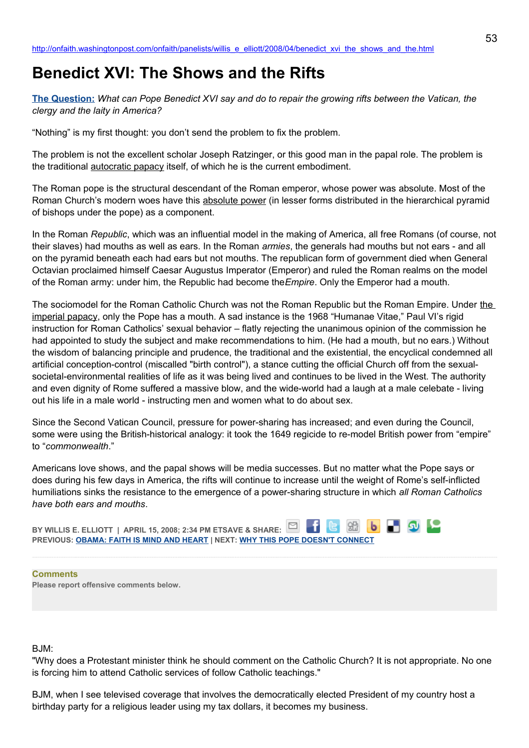# **Benedict XVI: The Shows and the Rifts**

**[The Question:](http://newsweek.washingtonpost.com/onfaith/2008/04/benedict_and_us_church/all.html)** *What can Pope Benedict XVI say and do to repair the growing rifts between the Vatican, the clergy and the laity in America?*

"Nothing" is my first thought: you don't send the problem to fix the problem.

The problem is not the excellent scholar Joseph Ratzinger, or this good man in the papal role. The problem is the traditional autocratic papacy itself, of which he is the current embodiment.

The Roman pope is the structural descendant of the Roman emperor, whose power was absolute. Most of the Roman Church's modern woes have this absolute power (in lesser forms distributed in the hierarchical pyramid of bishops under the pope) as a component.

In the Roman *Republic*, which was an influential model in the making of America, all free Romans (of course, not their slaves) had mouths as well as ears. In the Roman *armies*, the generals had mouths but not ears - and all on the pyramid beneath each had ears but not mouths. The republican form of government died when General Octavian proclaimed himself Caesar Augustus Imperator (Emperor) and ruled the Roman realms on the model of the Roman army: under him, the Republic had become the*Empire*. Only the Emperor had a mouth.

The sociomodel for the Roman Catholic Church was not the Roman Republic but the Roman Empire. Under the imperial papacy, only the Pope has a mouth. A sad instance is the 1968 "Humanae Vitae," Paul VI's rigid instruction for Roman Catholics' sexual behavior – flatly rejecting the unanimous opinion of the commission he had appointed to study the subject and make recommendations to him. (He had a mouth, but no ears.) Without the wisdom of balancing principle and prudence, the traditional and the existential, the encyclical condemned all artificial conception-control (miscalled "birth control"), a stance cutting the official Church off from the sexualsocietal-environmental realities of life as it was being lived and continues to be lived in the West. The authority and even dignity of Rome suffered a massive blow, and the wide-world had a laugh at a male celebate - living out his life in a male world - instructing men and women what to do about sex.

Since the Second Vatican Council, pressure for power-sharing has increased; and even during the Council, some were using the British-historical analogy: it took the 1649 regicide to re-model British power from "empire" to "*commonwealth*."

Americans love shows, and the papal shows will be media successes. But no matter what the Pope says or does during his few days in America, the rifts will continue to increase until the weight of Rome's self-inflicted humiliations sinks the resistance to the emergence of a power-sharing structure in which *all Roman Catholics have both ears and mouths*.

**b D Q L BY WILLIS E. ELLIOTT | APRIL 15, 2008; 2:34 PM ETSAVE & SHARE: G** 88 **PREVIOUS: [OBAMA: FAITH IS MIND AND HEART](http://onfaith.washingtonpost.com/onfaith/panelists/susan_brooks_thistlethwaite/2008/04/obama_faith_is_mind_and_heart.html) | NEXT: [WHY THIS POPE DOESN'T CONNECT](http://onfaith.washingtonpost.com/onfaith/panelists/lisa_miller/2008/04/why_this_pope_doesnt_connect.html)**

#### **Comments**

**Please report offensive comments below.**

# $B$ ,  $IM$ <sup>-</sup>

"Why does a Protestant minister think he should comment on the Catholic Church? It is not appropriate. No one is forcing him to attend Catholic services of follow Catholic teachings."

BJM, when I see televised coverage that involves the democratically elected President of my country host a birthday party for a religious leader using my tax dollars, it becomes my business.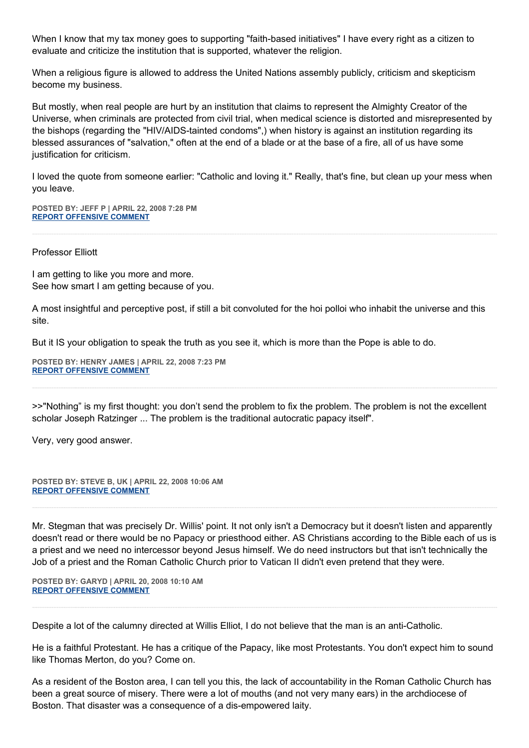When I know that my tax money goes to supporting "faith-based initiatives" I have every right as a citizen to evaluate and criticize the institution that is supported, whatever the religion.

When a religious figure is allowed to address the United Nations assembly publicly, criticism and skepticism become my business.

But mostly, when real people are hurt by an institution that claims to represent the Almighty Creator of the Universe, when criminals are protected from civil trial, when medical science is distorted and misrepresented by the bishops (regarding the "HIV/AIDS-tainted condoms",) when history is against an institution regarding its blessed assurances of "salvation," often at the end of a blade or at the base of a fire, all of us have some justification for criticism.

I loved the quote from someone earlier: "Catholic and loving it." Really, that's fine, but clean up your mess when you leave.

**POSTED BY: JEFF P | APRIL 22, 2008 7:28 PM [REPORT OFFENSIVE COMMENT](mailto:blogs@washingtonpost.com?subject=On%20Faith%20Panelists%20Blog%20%20%7C%20%20Jeff%20P%20%20%7C%20%20Benedict%20XVI:%20The%20Shows%20and%20the%20Rifts%20%20%7C%20%203242372&body=%0D%0D%0D%0D%0D================%0D?__mode=view%26_type=comment%26id=3242372%26blog_id=618)**

Professor Elliott

I am getting to like you more and more. See how smart I am getting because of you.

A most insightful and perceptive post, if still a bit convoluted for the hoi polloi who inhabit the universe and this site.

But it IS your obligation to speak the truth as you see it, which is more than the Pope is able to do.

**POSTED BY: HENRY JAMES | APRIL 22, 2008 7:23 PM [REPORT OFFENSIVE COMMENT](mailto:blogs@washingtonpost.com?subject=On%20Faith%20Panelists%20Blog%20%20%7C%20%20Henry%20James%20%20%7C%20%20Benedict%20XVI:%20The%20Shows%20and%20the%20Rifts%20%20%7C%20%203242340&body=%0D%0D%0D%0D%0D================%0D?__mode=view%26_type=comment%26id=3242340%26blog_id=618)**

>>"Nothing" is my first thought: you don't send the problem to fix the problem. The problem is not the excellent scholar Joseph Ratzinger ... The problem is the traditional autocratic papacy itself".

Very, very good answer.

**POSTED BY: STEVE B, UK | APRIL 22, 2008 10:06 AM [REPORT OFFENSIVE COMMENT](mailto:blogs@washingtonpost.com?subject=On%20Faith%20Panelists%20Blog%20%20%7C%20%20Steve%20B,%20UK%20%20%7C%20%20Benedict%20XVI:%20The%20Shows%20and%20the%20Rifts%20%20%7C%20%203237354&body=%0D%0D%0D%0D%0D================%0D?__mode=view%26_type=comment%26id=3237354%26blog_id=618)**

Mr. Stegman that was precisely Dr. Willis' point. It not only isn't a Democracy but it doesn't listen and apparently doesn't read or there would be no Papacy or priesthood either. AS Christians according to the Bible each of us is a priest and we need no intercessor beyond Jesus himself. We do need instructors but that isn't technically the Job of a priest and the Roman Catholic Church prior to Vatican II didn't even pretend that they were.

**POSTED BY: GARYD | APRIL 20, 2008 10:10 AM [REPORT OFFENSIVE COMMENT](mailto:blogs@washingtonpost.com?subject=On%20Faith%20Panelists%20Blog%20%20%7C%20%20Garyd%20%20%7C%20%20Benedict%20XVI:%20The%20Shows%20and%20the%20Rifts%20%20%7C%20%203214809&body=%0D%0D%0D%0D%0D================%0D?__mode=view%26_type=comment%26id=3214809%26blog_id=618)**

Despite a lot of the calumny directed at Willis Elliot, I do not believe that the man is an anti-Catholic.

He is a faithful Protestant. He has a critique of the Papacy, like most Protestants. You don't expect him to sound like Thomas Merton, do you? Come on.

As a resident of the Boston area, I can tell you this, the lack of accountability in the Roman Catholic Church has been a great source of misery. There were a lot of mouths (and not very many ears) in the archdiocese of Boston. That disaster was a consequence of a dis-empowered laity.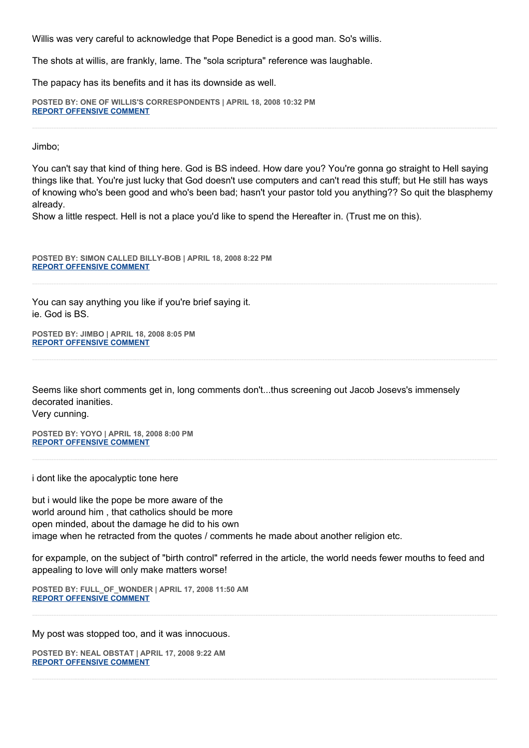Willis was very careful to acknowledge that Pope Benedict is a good man. So's willis.

The shots at willis, are frankly, lame. The "sola scriptura" reference was laughable.

The papacy has its benefits and it has its downside as well.

**POSTED BY: ONE OF WILLIS'S CORRESPONDENTS | APRIL 18, 2008 10:32 PM [REPORT OFFENSIVE COMMENT](mailto:blogs@washingtonpost.com?subject=On%20Faith%20Panelists%20Blog%20%20%7C%20%20One%20of%20Willis)**

Jimbo;

You can't say that kind of thing here. God is BS indeed. How dare you? You're gonna go straight to Hell saying things like that. You're just lucky that God doesn't use computers and can't read this stuff; but He still has ways of knowing who's been good and who's been bad; hasn't your pastor told you anything?? So quit the blasphemy already.

Show a little respect. Hell is not a place you'd like to spend the Hereafter in. (Trust me on this).

**POSTED BY: SIMON CALLED BILLY-BOB | APRIL 18, 2008 8:22 PM [REPORT OFFENSIVE COMMENT](mailto:blogs@washingtonpost.com?subject=On%20Faith%20Panelists%20Blog%20%20%7C%20%20simon%20called%20billy-bob%20%20%7C%20%20Benedict%20XVI:%20The%20Shows%20and%20the%20Rifts%20%20%7C%20%203197097&body=%0D%0D%0D%0D%0D================%0D?__mode=view%26_type=comment%26id=3197097%26blog_id=618)**

You can say anything you like if you're brief saying it. ie. God is BS.

**POSTED BY: JIMBO | APRIL 18, 2008 8:05 PM [REPORT OFFENSIVE COMMENT](mailto:blogs@washingtonpost.com?subject=On%20Faith%20Panelists%20Blog%20%20%7C%20%20jimbo%20%20%7C%20%20Benedict%20XVI:%20The%20Shows%20and%20the%20Rifts%20%20%7C%20%203196930&body=%0D%0D%0D%0D%0D================%0D?__mode=view%26_type=comment%26id=3196930%26blog_id=618)**

Seems like short comments get in, long comments don't...thus screening out Jacob Josevs's immensely decorated inanities.

Very cunning.

**POSTED BY: YOYO | APRIL 18, 2008 8:00 PM [REPORT OFFENSIVE COMMENT](mailto:blogs@washingtonpost.com?subject=On%20Faith%20Panelists%20Blog%20%20%7C%20%20yoyo%20%20%7C%20%20Benedict%20XVI:%20The%20Shows%20and%20the%20Rifts%20%20%7C%20%203196896&body=%0D%0D%0D%0D%0D================%0D?__mode=view%26_type=comment%26id=3196896%26blog_id=618)**

i dont like the apocalyptic tone here

but i would like the pope be more aware of the world around him , that catholics should be more open minded, about the damage he did to his own image when he retracted from the quotes / comments he made about another religion etc.

for expample, on the subject of "birth control" referred in the article, the world needs fewer mouths to feed and appealing to love will only make matters worse!

**POSTED BY: FULL\_OF\_WONDER | APRIL 17, 2008 11:50 AM [REPORT OFFENSIVE COMMENT](mailto:blogs@washingtonpost.com?subject=On%20Faith%20Panelists%20Blog%20%20%7C%20%20full_of_wonder%20%20%7C%20%20Benedict%20XVI:%20The%20Shows%20and%20the%20Rifts%20%20%7C%20%203179048&body=%0D%0D%0D%0D%0D================%0D?__mode=view%26_type=comment%26id=3179048%26blog_id=618)**

My post was stopped too, and it was innocuous.

**POSTED BY: NEAL OBSTAT | APRIL 17, 2008 9:22 AM [REPORT OFFENSIVE COMMENT](mailto:blogs@washingtonpost.com?subject=On%20Faith%20Panelists%20Blog%20%20%7C%20%20Neal%20Obstat%20%20%7C%20%20Benedict%20XVI:%20The%20Shows%20and%20the%20Rifts%20%20%7C%20%203177305&body=%0D%0D%0D%0D%0D================%0D?__mode=view%26_type=comment%26id=3177305%26blog_id=618)**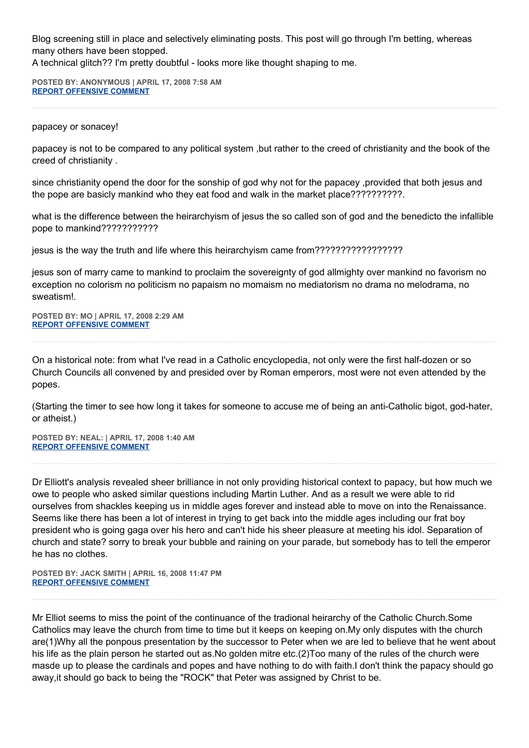Blog screening still in place and selectively eliminating posts. This post will go through I'm betting, whereas many others have been stopped.

A technical glitch?? I'm pretty doubtful - looks more like thought shaping to me.

**POSTED BY: ANONYMOUS | APRIL 17, 2008 7:58 AM [REPORT OFFENSIVE COMMENT](mailto:blogs@washingtonpost.com?subject=On%20Faith%20Panelists%20Blog%20%20%7C%20%20Anonymous%20%20%7C%20%20Benedict%20XVI:%20The%20Shows%20and%20the%20Rifts%20%20%7C%20%203176478&body=%0D%0D%0D%0D%0D================%0D?__mode=view%26_type=comment%26id=3176478%26blog_id=618)**

papacey or sonacey!

papacey is not to be compared to any political system ,but rather to the creed of christianity and the book of the creed of christianity .

since christianity opend the door for the sonship of god why not for the papacey ,provided that both jesus and the pope are basicly mankind who they eat food and walk in the market place??????????.

what is the difference between the heirarchyism of jesus the so called son of god and the benedicto the infallible pope to mankind???????????

jesus is the way the truth and life where this heirarchyism came from?????????????????

jesus son of marry came to mankind to proclaim the sovereignty of god allmighty over mankind no favorism no exception no colorism no politicism no papaism no momaism no mediatorism no drama no melodrama, no sweatism!.

**POSTED BY: MO | APRIL 17, 2008 2:29 AM [REPORT OFFENSIVE COMMENT](mailto:blogs@washingtonpost.com?subject=On%20Faith%20Panelists%20Blog%20%20%7C%20%20mo%20%20%7C%20%20Benedict%20XVI:%20The%20Shows%20and%20the%20Rifts%20%20%7C%20%203173222&body=%0D%0D%0D%0D%0D================%0D?__mode=view%26_type=comment%26id=3173222%26blog_id=618)**

On a historical note: from what I've read in a Catholic encyclopedia, not only were the first half-dozen or so Church Councils all convened by and presided over by Roman emperors, most were not even attended by the popes.

(Starting the timer to see how long it takes for someone to accuse me of being an anti-Catholic bigot, god-hater, or atheist.)

**POSTED BY: NEAL: | APRIL 17, 2008 1:40 AM [REPORT OFFENSIVE COMMENT](mailto:blogs@washingtonpost.com?subject=On%20Faith%20Panelists%20Blog%20%20%7C%20%20Neal:%20%20%7C%20%20Benedict%20XVI:%20The%20Shows%20and%20the%20Rifts%20%20%7C%20%203172555&body=%0D%0D%0D%0D%0D================%0D?__mode=view%26_type=comment%26id=3172555%26blog_id=618)**

Dr Elliott's analysis revealed sheer brilliance in not only providing historical context to papacy, but how much we owe to people who asked similar questions including Martin Luther. And as a result we were able to rid ourselves from shackles keeping us in middle ages forever and instead able to move on into the Renaissance. Seems like there has been a lot of interest in trying to get back into the middle ages including our frat boy president who is going gaga over his hero and can't hide his sheer pleasure at meeting his idol. Separation of church and state? sorry to break your bubble and raining on your parade, but somebody has to tell the emperor he has no clothes.

**POSTED BY: JACK SMITH | APRIL 16, 2008 11:47 PM [REPORT OFFENSIVE COMMENT](mailto:blogs@washingtonpost.com?subject=On%20Faith%20Panelists%20Blog%20%20%7C%20%20Jack%20Smith%20%20%7C%20%20Benedict%20XVI:%20The%20Shows%20and%20the%20Rifts%20%20%7C%20%203171350&body=%0D%0D%0D%0D%0D================%0D?__mode=view%26_type=comment%26id=3171350%26blog_id=618)**

Mr Elliot seems to miss the point of the continuance of the tradional heirarchy of the Catholic Church.Some Catholics may leave the church from time to time but it keeps on keeping on.My only disputes with the church are(1)Why all the ponpous presentation by the successor to Peter when we are led to believe that he went about his life as the plain person he started out as.No golden mitre etc.(2)Too many of the rules of the church were masde up to please the cardinals and popes and have nothing to do with faith.I don't think the papacy should go away,it should go back to being the "ROCK" that Peter was assigned by Christ to be.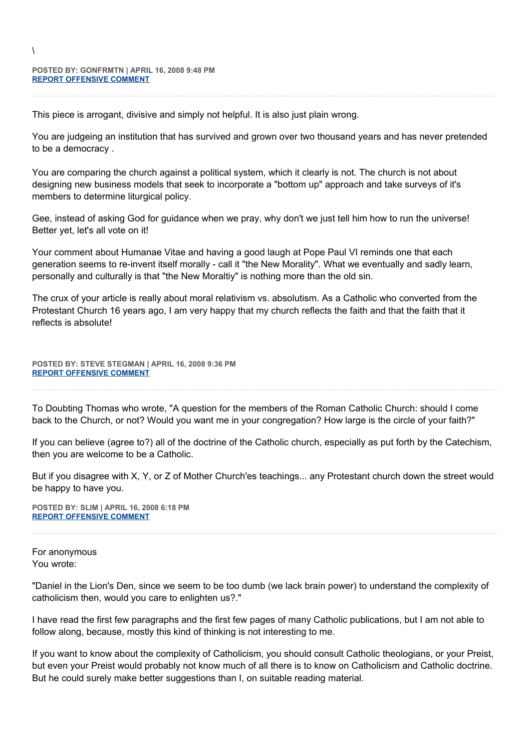$\lambda$ 

This piece is arrogant, divisive and simply not helpful. It is also just plain wrong.

You are judgeing an institution that has survived and grown over two thousand years and has never pretended to be a democracy .

You are comparing the church against a political system, which it clearly is not. The church is not about designing new business models that seek to incorporate a "bottom up" approach and take surveys of it's members to determine liturgical policy.

Gee, instead of asking God for guidance when we pray, why don't we just tell him how to run the universe! Better yet, let's all vote on it!

Your comment about Humanae Vitae and having a good laugh at Pope Paul VI reminds one that each generation seems to re-invent itself morally - call it "the New Morality". What we eventually and sadly learn, personally and culturally is that "the New Moraltiy" is nothing more than the old sin.

The crux of your article is really about moral relativism vs. absolutism. As a Catholic who converted from the Protestant Church 16 years ago, I am very happy that my church reflects the faith and that the faith that it reflects is absolute!

**POSTED BY: STEVE STEGMAN | APRIL 16, 2008 9:36 PM [REPORT OFFENSIVE COMMENT](mailto:blogs@washingtonpost.com?subject=On%20Faith%20Panelists%20Blog%20%20%7C%20%20Steve%20Stegman%20%20%7C%20%20Benedict%20XVI:%20The%20Shows%20and%20the%20Rifts%20%20%7C%20%203169878&body=%0D%0D%0D%0D%0D================%0D?__mode=view%26_type=comment%26id=3169878%26blog_id=618)**

To Doubting Thomas who wrote, "A question for the members of the Roman Catholic Church: should I come back to the Church, or not? Would you want me in your congregation? How large is the circle of your faith?"

If you can believe (agree to?) all of the doctrine of the Catholic church, especially as put forth by the Catechism, then you are welcome to be a Catholic.

But if you disagree with X, Y, or Z of Mother Church'es teachings... any Protestant church down the street would be happy to have you.

**POSTED BY: SLIM | APRIL 16, 2008 6:18 PM [REPORT OFFENSIVE COMMENT](mailto:blogs@washingtonpost.com?subject=On%20Faith%20Panelists%20Blog%20%20%7C%20%20slim%20%20%7C%20%20Benedict%20XVI:%20The%20Shows%20and%20the%20Rifts%20%20%7C%20%203167791&body=%0D%0D%0D%0D%0D================%0D?__mode=view%26_type=comment%26id=3167791%26blog_id=618)**

For anonymous You wrote:

"Daniel in the Lion's Den, since we seem to be too dumb (we lack brain power) to understand the complexity of catholicism then, would you care to enlighten us?."

I have read the first few paragraphs and the first few pages of many Catholic publications, but I am not able to follow along, because, mostly this kind of thinking is not interesting to me.

If you want to know about the complexity of Catholicism, you should consult Catholic theologians, or your Preist, but even your Preist would probably not know much of all there is to know on Catholicism and Catholic doctrine. But he could surely make better suggestions than I, on suitable reading material.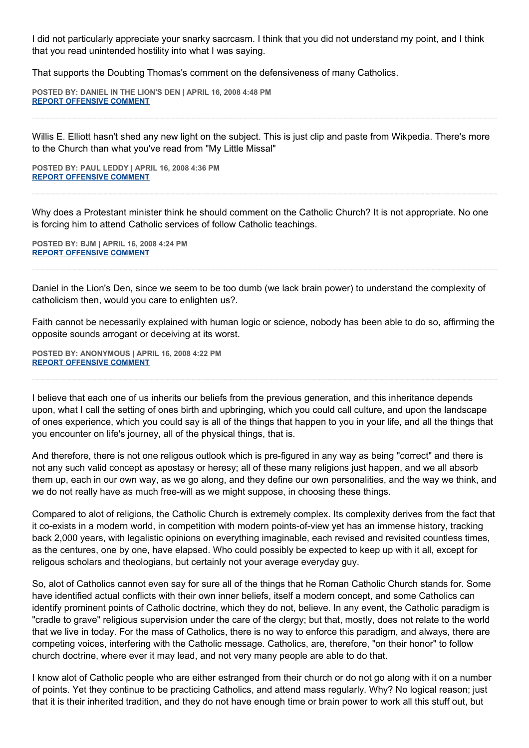I did not particularly appreciate your snarky sacrcasm. I think that you did not understand my point, and I think that you read unintended hostility into what I was saying.

That supports the Doubting Thomas's comment on the defensiveness of many Catholics.

**POSTED BY: DANIEL IN THE LION'S DEN | APRIL 16, 2008 4:48 PM [REPORT OFFENSIVE COMMENT](mailto:blogs@washingtonpost.com?subject=On%20Faith%20Panelists%20Blog%20%20%7C%20%20Daniel%20in%20the%20Lion)**

Willis E. Elliott hasn't shed any new light on the subject. This is just clip and paste from Wikpedia. There's more to the Church than what you've read from "My Little Missal"

**POSTED BY: PAUL LEDDY | APRIL 16, 2008 4:36 PM [REPORT OFFENSIVE COMMENT](mailto:blogs@washingtonpost.com?subject=On%20Faith%20Panelists%20Blog%20%20%7C%20%20Paul%20Leddy%20%20%7C%20%20Benedict%20XVI:%20The%20Shows%20and%20the%20Rifts%20%20%7C%20%203166739&body=%0D%0D%0D%0D%0D================%0D?__mode=view%26_type=comment%26id=3166739%26blog_id=618)**

Why does a Protestant minister think he should comment on the Catholic Church? It is not appropriate. No one is forcing him to attend Catholic services of follow Catholic teachings.

**POSTED BY: BJM | APRIL 16, 2008 4:24 PM [REPORT OFFENSIVE COMMENT](mailto:blogs@washingtonpost.com?subject=On%20Faith%20Panelists%20Blog%20%20%7C%20%20BJM%20%20%7C%20%20Benedict%20XVI:%20The%20Shows%20and%20the%20Rifts%20%20%7C%20%203166631&body=%0D%0D%0D%0D%0D================%0D?__mode=view%26_type=comment%26id=3166631%26blog_id=618)**

Daniel in the Lion's Den, since we seem to be too dumb (we lack brain power) to understand the complexity of catholicism then, would you care to enlighten us?.

Faith cannot be necessarily explained with human logic or science, nobody has been able to do so, affirming the opposite sounds arrogant or deceiving at its worst.

**POSTED BY: ANONYMOUS | APRIL 16, 2008 4:22 PM [REPORT OFFENSIVE COMMENT](mailto:blogs@washingtonpost.com?subject=On%20Faith%20Panelists%20Blog%20%20%7C%20%20Anonymous%20%20%7C%20%20Benedict%20XVI:%20The%20Shows%20and%20the%20Rifts%20%20%7C%20%203166601&body=%0D%0D%0D%0D%0D================%0D?__mode=view%26_type=comment%26id=3166601%26blog_id=618)**

I believe that each one of us inherits our beliefs from the previous generation, and this inheritance depends upon, what I call the setting of ones birth and upbringing, which you could call culture, and upon the landscape of ones experience, which you could say is all of the things that happen to you in your life, and all the things that you encounter on life's journey, all of the physical things, that is.

And therefore, there is not one religous outlook which is pre-figured in any way as being "correct" and there is not any such valid concept as apostasy or heresy; all of these many religions just happen, and we all absorb them up, each in our own way, as we go along, and they define our own personalities, and the way we think, and we do not really have as much free-will as we might suppose, in choosing these things.

Compared to alot of religions, the Catholic Church is extremely complex. Its complexity derives from the fact that it co-exists in a modern world, in competition with modern points-of-view yet has an immense history, tracking back 2,000 years, with legalistic opinions on everything imaginable, each revised and revisited countless times, as the centures, one by one, have elapsed. Who could possibly be expected to keep up with it all, except for religous scholars and theologians, but certainly not your average everyday guy.

So, alot of Catholics cannot even say for sure all of the things that he Roman Catholic Church stands for. Some have identified actual conflicts with their own inner beliefs, itself a modern concept, and some Catholics can identify prominent points of Catholic doctrine, which they do not, believe. In any event, the Catholic paradigm is "cradle to grave" religious supervision under the care of the clergy; but that, mostly, does not relate to the world that we live in today. For the mass of Catholics, there is no way to enforce this paradigm, and always, there are competing voices, interfering with the Catholic message. Catholics, are, therefore, "on their honor" to follow church doctrine, where ever it may lead, and not very many people are able to do that.

I know alot of Catholic people who are either estranged from their church or do not go along with it on a number of points. Yet they continue to be practicing Catholics, and attend mass regularly. Why? No logical reason; just that it is their inherited tradition, and they do not have enough time or brain power to work all this stuff out, but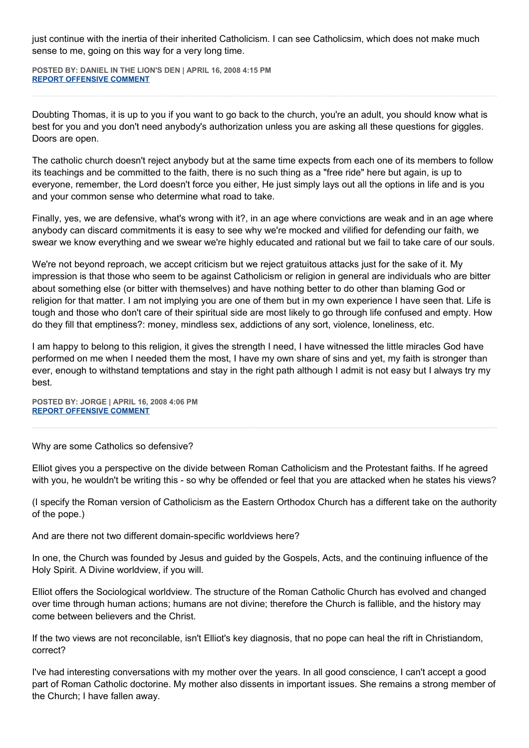just continue with the inertia of their inherited Catholicism. I can see Catholicsim, which does not make much sense to me, going on this way for a very long time.

**POSTED BY: DANIEL IN THE LION'S DEN | APRIL 16, 2008 4:15 PM [REPORT OFFENSIVE COMMENT](mailto:blogs@washingtonpost.com?subject=On%20Faith%20Panelists%20Blog%20%20%7C%20%20Daniel%20in%20the%20Lion)**

Doubting Thomas, it is up to you if you want to go back to the church, you're an adult, you should know what is best for you and you don't need anybody's authorization unless you are asking all these questions for giggles. Doors are open.

The catholic church doesn't reject anybody but at the same time expects from each one of its members to follow its teachings and be committed to the faith, there is no such thing as a "free ride" here but again, is up to everyone, remember, the Lord doesn't force you either, He just simply lays out all the options in life and is you and your common sense who determine what road to take.

Finally, yes, we are defensive, what's wrong with it?, in an age where convictions are weak and in an age where anybody can discard commitments it is easy to see why we're mocked and vilified for defending our faith, we swear we know everything and we swear we're highly educated and rational but we fail to take care of our souls.

We're not beyond reproach, we accept criticism but we reject gratuitous attacks just for the sake of it. My impression is that those who seem to be against Catholicism or religion in general are individuals who are bitter about something else (or bitter with themselves) and have nothing better to do other than blaming God or religion for that matter. I am not implying you are one of them but in my own experience I have seen that. Life is tough and those who don't care of their spiritual side are most likely to go through life confused and empty. How do they fill that emptiness?: money, mindless sex, addictions of any sort, violence, loneliness, etc.

I am happy to belong to this religion, it gives the strength I need, I have witnessed the little miracles God have performed on me when I needed them the most, I have my own share of sins and yet, my faith is stronger than ever, enough to withstand temptations and stay in the right path although I admit is not easy but I always try my best.

**POSTED BY: JORGE | APRIL 16, 2008 4:06 PM [REPORT OFFENSIVE COMMENT](mailto:blogs@washingtonpost.com?subject=On%20Faith%20Panelists%20Blog%20%20%7C%20%20Jorge%20%20%7C%20%20Benedict%20XVI:%20The%20Shows%20and%20the%20Rifts%20%20%7C%20%203166460&body=%0D%0D%0D%0D%0D================%0D?__mode=view%26_type=comment%26id=3166460%26blog_id=618)**

Why are some Catholics so defensive?

Elliot gives you a perspective on the divide between Roman Catholicism and the Protestant faiths. If he agreed with you, he wouldn't be writing this - so why be offended or feel that you are attacked when he states his views?

(I specify the Roman version of Catholicism as the Eastern Orthodox Church has a different take on the authority of the pope.)

And are there not two different domain-specific worldviews here?

In one, the Church was founded by Jesus and guided by the Gospels, Acts, and the continuing influence of the Holy Spirit. A Divine worldview, if you will.

Elliot offers the Sociological worldview. The structure of the Roman Catholic Church has evolved and changed over time through human actions; humans are not divine; therefore the Church is fallible, and the history may come between believers and the Christ.

If the two views are not reconcilable, isn't Elliot's key diagnosis, that no pope can heal the rift in Christiandom, correct?

I've had interesting conversations with my mother over the years. In all good conscience, I can't accept a good part of Roman Catholic doctorine. My mother also dissents in important issues. She remains a strong member of the Church; I have fallen away.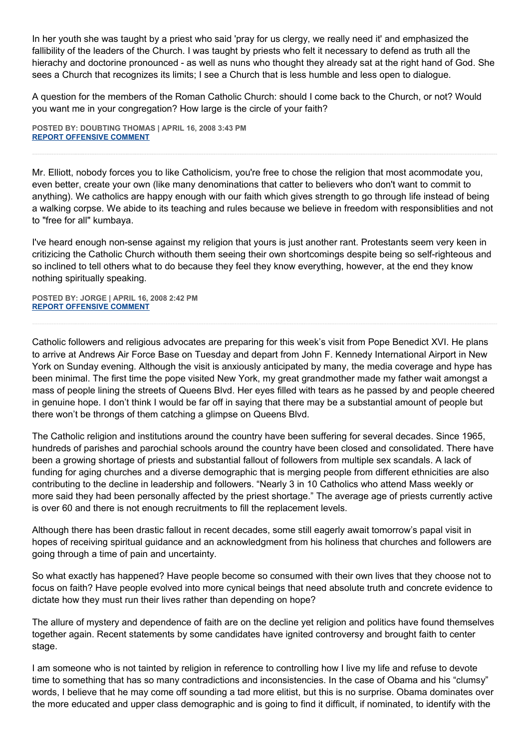In her youth she was taught by a priest who said 'pray for us clergy, we really need it' and emphasized the fallibility of the leaders of the Church. I was taught by priests who felt it necessary to defend as truth all the hierachy and doctorine pronounced - as well as nuns who thought they already sat at the right hand of God. She sees a Church that recognizes its limits; I see a Church that is less humble and less open to dialogue.

A question for the members of the Roman Catholic Church: should I come back to the Church, or not? Would you want me in your congregation? How large is the circle of your faith?

**POSTED BY: DOUBTING THOMAS | APRIL 16, 2008 3:43 PM [REPORT OFFENSIVE COMMENT](mailto:blogs@washingtonpost.com?subject=On%20Faith%20Panelists%20Blog%20%20%7C%20%20Doubting%20Thomas%20%20%7C%20%20Benedict%20XVI:%20The%20Shows%20and%20the%20Rifts%20%20%7C%20%203166214&body=%0D%0D%0D%0D%0D================%0D?__mode=view%26_type=comment%26id=3166214%26blog_id=618)**

Mr. Elliott, nobody forces you to like Catholicism, you're free to chose the religion that most acommodate you, even better, create your own (like many denominations that catter to believers who don't want to commit to anything). We catholics are happy enough with our faith which gives strength to go through life instead of being a walking corpse. We abide to its teaching and rules because we believe in freedom with responsiblities and not to "free for all" kumbaya.

I've heard enough non-sense against my religion that yours is just another rant. Protestants seem very keen in critizicing the Catholic Church withouth them seeing their own shortcomings despite being so self-righteous and so inclined to tell others what to do because they feel they know everything, however, at the end they know nothing spiritually speaking.

**POSTED BY: JORGE | APRIL 16, 2008 2:42 PM [REPORT OFFENSIVE COMMENT](mailto:blogs@washingtonpost.com?subject=On%20Faith%20Panelists%20Blog%20%20%7C%20%20Jorge%20%20%7C%20%20Benedict%20XVI:%20The%20Shows%20and%20the%20Rifts%20%20%7C%20%203165505&body=%0D%0D%0D%0D%0D================%0D?__mode=view%26_type=comment%26id=3165505%26blog_id=618)**

Catholic followers and religious advocates are preparing for this week's visit from Pope Benedict XVI. He plans to arrive at Andrews Air Force Base on Tuesday and depart from John F. Kennedy International Airport in New York on Sunday evening. Although the visit is anxiously anticipated by many, the media coverage and hype has been minimal. The first time the pope visited New York, my great grandmother made my father wait amongst a mass of people lining the streets of Queens Blvd. Her eyes filled with tears as he passed by and people cheered in genuine hope. I don't think I would be far off in saying that there may be a substantial amount of people but there won't be throngs of them catching a glimpse on Queens Blvd.

The Catholic religion and institutions around the country have been suffering for several decades. Since 1965, hundreds of parishes and parochial schools around the country have been closed and consolidated. There have been a growing shortage of priests and substantial fallout of followers from multiple sex scandals. A lack of funding for aging churches and a diverse demographic that is merging people from different ethnicities are also contributing to the decline in leadership and followers. "Nearly 3 in 10 Catholics who attend Mass weekly or more said they had been personally affected by the priest shortage." The average age of priests currently active is over 60 and there is not enough recruitments to fill the replacement levels.

Although there has been drastic fallout in recent decades, some still eagerly await tomorrow's papal visit in hopes of receiving spiritual guidance and an acknowledgment from his holiness that churches and followers are going through a time of pain and uncertainty.

So what exactly has happened? Have people become so consumed with their own lives that they choose not to focus on faith? Have people evolved into more cynical beings that need absolute truth and concrete evidence to dictate how they must run their lives rather than depending on hope?

The allure of mystery and dependence of faith are on the decline yet religion and politics have found themselves together again. Recent statements by some candidates have ignited controversy and brought faith to center stage.

I am someone who is not tainted by religion in reference to controlling how I live my life and refuse to devote time to something that has so many contradictions and inconsistencies. In the case of Obama and his "clumsy" words, I believe that he may come off sounding a tad more elitist, but this is no surprise. Obama dominates over the more educated and upper class demographic and is going to find it difficult, if nominated, to identify with the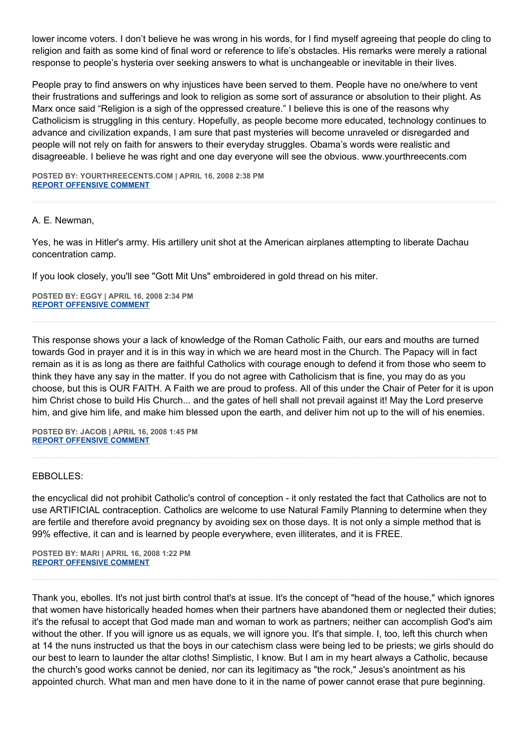lower income voters. I don't believe he was wrong in his words, for I find myself agreeing that people do cling to religion and faith as some kind of final word or reference to life's obstacles. His remarks were merely a rational response to people's hysteria over seeking answers to what is unchangeable or inevitable in their lives.

People pray to find answers on why injustices have been served to them. People have no one/where to vent their frustrations and sufferings and look to religion as some sort of assurance or absolution to their plight. As Marx once said "Religion is a sigh of the oppressed creature." I believe this is one of the reasons why Catholicism is struggling in this century. Hopefully, as people become more educated, technology continues to advance and civilization expands, I am sure that past mysteries will become unraveled or disregarded and people will not rely on faith for answers to their everyday struggles. Obama's words were realistic and disagreeable. I believe he was right and one day everyone will see the obvious. www.yourthreecents.com

**POSTED BY: YOURTHREECENTS.COM | APRIL 16, 2008 2:38 PM [REPORT OFFENSIVE COMMENT](mailto:blogs@washingtonpost.com?subject=On%20Faith%20Panelists%20Blog%20%20%7C%20%20yourthreecents.com%20%20%7C%20%20Benedict%20XVI:%20The%20Shows%20and%20the%20Rifts%20%20%7C%20%203165487&body=%0D%0D%0D%0D%0D================%0D?__mode=view%26_type=comment%26id=3165487%26blog_id=618)**

## A. E. Newman,

Yes, he was in Hitler's army. His artillery unit shot at the American airplanes attempting to liberate Dachau concentration camp.

If you look closely, you'll see "Gott Mit Uns" embroidered in gold thread on his miter.

**POSTED BY: EGGY | APRIL 16, 2008 2:34 PM [REPORT OFFENSIVE COMMENT](mailto:blogs@washingtonpost.com?subject=On%20Faith%20Panelists%20Blog%20%20%7C%20%20Eggy%20%20%7C%20%20Benedict%20XVI:%20The%20Shows%20and%20the%20Rifts%20%20%7C%20%203165445&body=%0D%0D%0D%0D%0D================%0D?__mode=view%26_type=comment%26id=3165445%26blog_id=618)**

This response shows your a lack of knowledge of the Roman Catholic Faith, our ears and mouths are turned towards God in prayer and it is in this way in which we are heard most in the Church. The Papacy will in fact remain as it is as long as there are faithful Catholics with courage enough to defend it from those who seem to think they have any say in the matter. If you do not agree with Catholicism that is fine, you may do as you choose, but this is OUR FAITH. A Faith we are proud to profess. All of this under the Chair of Peter for it is upon him Christ chose to build His Church... and the gates of hell shall not prevail against it! May the Lord preserve him, and give him life, and make him blessed upon the earth, and deliver him not up to the will of his enemies.

**POSTED BY: JACOB | APRIL 16, 2008 1:45 PM [REPORT OFFENSIVE COMMENT](mailto:blogs@washingtonpost.com?subject=On%20Faith%20Panelists%20Blog%20%20%7C%20%20Jacob%20%20%7C%20%20Benedict%20XVI:%20The%20Shows%20and%20the%20Rifts%20%20%7C%20%203164965&body=%0D%0D%0D%0D%0D================%0D?__mode=view%26_type=comment%26id=3164965%26blog_id=618)**

### EBBOLLES:

the encyclical did not prohibit Catholic's control of conception - it only restated the fact that Catholics are not to use ARTIFICIAL contraception. Catholics are welcome to use Natural Family Planning to determine when they are fertile and therefore avoid pregnancy by avoiding sex on those days. It is not only a simple method that is 99% effective, it can and is learned by people everywhere, even illiterates, and it is FREE.

**POSTED BY: MARI | APRIL 16, 2008 1:22 PM [REPORT OFFENSIVE COMMENT](mailto:blogs@washingtonpost.com?subject=On%20Faith%20Panelists%20Blog%20%20%7C%20%20mari%20%20%7C%20%20Benedict%20XVI:%20The%20Shows%20and%20the%20Rifts%20%20%7C%20%203164714&body=%0D%0D%0D%0D%0D================%0D?__mode=view%26_type=comment%26id=3164714%26blog_id=618)**

Thank you, ebolles. It's not just birth control that's at issue. It's the concept of "head of the house," which ignores that women have historically headed homes when their partners have abandoned them or neglected their duties; it's the refusal to accept that God made man and woman to work as partners; neither can accomplish God's aim without the other. If you will ignore us as equals, we will ignore you. It's that simple. I, too, left this church when at 14 the nuns instructed us that the boys in our catechism class were being led to be priests; we girls should do our best to learn to launder the altar cloths! Simplistic, I know. But I am in my heart always a Catholic, because the church's good works cannot be denied, nor can its legitimacy as "the rock," Jesus's anointment as his appointed church. What man and men have done to it in the name of power cannot erase that pure beginning.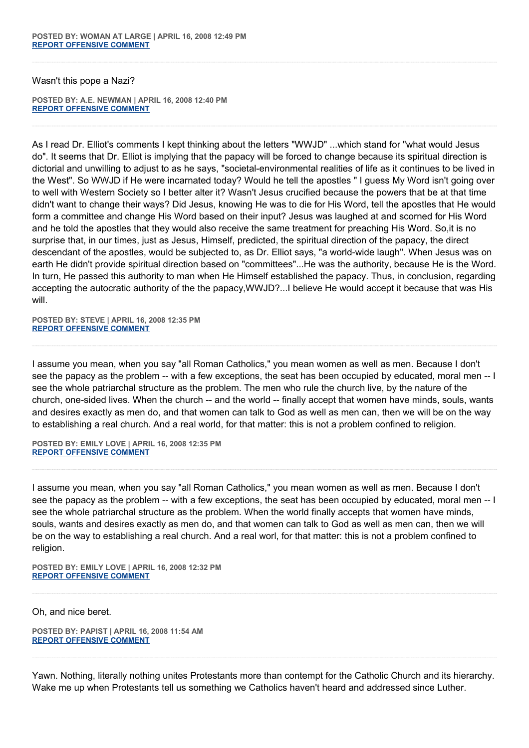Wasn't this pope a Nazi?

**POSTED BY: A.E. NEWMAN | APRIL 16, 2008 12:40 PM [REPORT OFFENSIVE COMMENT](mailto:blogs@washingtonpost.com?subject=On%20Faith%20Panelists%20Blog%20%20%7C%20%20A.E.%20Newman%20%20%7C%20%20Benedict%20XVI:%20The%20Shows%20and%20the%20Rifts%20%20%7C%20%203164206&body=%0D%0D%0D%0D%0D================%0D?__mode=view%26_type=comment%26id=3164206%26blog_id=618)**

As I read Dr. Elliot's comments I kept thinking about the letters "WWJD" ...which stand for "what would Jesus do". It seems that Dr. Elliot is implying that the papacy will be forced to change because its spiritual direction is dictorial and unwilling to adjust to as he says, "societal-environmental realities of life as it continues to be lived in the West". So WWJD if He were incarnated today? Would he tell the apostles " I guess My Word isn't going over to well with Western Society so I better alter it? Wasn't Jesus crucified because the powers that be at that time didn't want to change their ways? Did Jesus, knowing He was to die for His Word, tell the apostles that He would form a committee and change His Word based on their input? Jesus was laughed at and scorned for His Word and he told the apostles that they would also receive the same treatment for preaching His Word. So,it is no surprise that, in our times, just as Jesus, Himself, predicted, the spiritual direction of the papacy, the direct descendant of the apostles, would be subjected to, as Dr. Elliot says, "a world-wide laugh". When Jesus was on earth He didn't provide spiritual direction based on "committees"...He was the authority, because He is the Word. In turn, He passed this authority to man when He Himself established the papacy. Thus, in conclusion, regarding accepting the autocratic authority of the the papacy,WWJD?...I believe He would accept it because that was His will.

**POSTED BY: STEVE | APRIL 16, 2008 12:35 PM [REPORT OFFENSIVE COMMENT](mailto:blogs@washingtonpost.com?subject=On%20Faith%20Panelists%20Blog%20%20%7C%20%20Steve%20%20%7C%20%20Benedict%20XVI:%20The%20Shows%20and%20the%20Rifts%20%20%7C%20%203164151&body=%0D%0D%0D%0D%0D================%0D?__mode=view%26_type=comment%26id=3164151%26blog_id=618)**

I assume you mean, when you say "all Roman Catholics," you mean women as well as men. Because I don't see the papacy as the problem -- with a few exceptions, the seat has been occupied by educated, moral men -- I see the whole patriarchal structure as the problem. The men who rule the church live, by the nature of the church, one-sided lives. When the church -- and the world -- finally accept that women have minds, souls, wants and desires exactly as men do, and that women can talk to God as well as men can, then we will be on the way to establishing a real church. And a real world, for that matter: this is not a problem confined to religion.

**POSTED BY: EMILY LOVE | APRIL 16, 2008 12:35 PM [REPORT OFFENSIVE COMMENT](mailto:blogs@washingtonpost.com?subject=On%20Faith%20Panelists%20Blog%20%20%7C%20%20Emily%20Love%20%20%7C%20%20Benedict%20XVI:%20The%20Shows%20and%20the%20Rifts%20%20%7C%20%203164148&body=%0D%0D%0D%0D%0D================%0D?__mode=view%26_type=comment%26id=3164148%26blog_id=618)**

I assume you mean, when you say "all Roman Catholics," you mean women as well as men. Because I don't see the papacy as the problem -- with a few exceptions, the seat has been occupied by educated, moral men -- I see the whole patriarchal structure as the problem. When the world finally accepts that women have minds, souls, wants and desires exactly as men do, and that women can talk to God as well as men can, then we will be on the way to establishing a real church. And a real worl, for that matter: this is not a problem confined to religion.

**POSTED BY: EMILY LOVE | APRIL 16, 2008 12:32 PM [REPORT OFFENSIVE COMMENT](mailto:blogs@washingtonpost.com?subject=On%20Faith%20Panelists%20Blog%20%20%7C%20%20Emily%20Love%20%20%7C%20%20Benedict%20XVI:%20The%20Shows%20and%20the%20Rifts%20%20%7C%20%203164121&body=%0D%0D%0D%0D%0D================%0D?__mode=view%26_type=comment%26id=3164121%26blog_id=618)**

Oh, and nice beret.

**POSTED BY: PAPIST | APRIL 16, 2008 11:54 AM [REPORT OFFENSIVE COMMENT](mailto:blogs@washingtonpost.com?subject=On%20Faith%20Panelists%20Blog%20%20%7C%20%20Papist%20%20%7C%20%20Benedict%20XVI:%20The%20Shows%20and%20the%20Rifts%20%20%7C%20%203163844&body=%0D%0D%0D%0D%0D================%0D?__mode=view%26_type=comment%26id=3163844%26blog_id=618)**

Yawn. Nothing, literally nothing unites Protestants more than contempt for the Catholic Church and its hierarchy. Wake me up when Protestants tell us something we Catholics haven't heard and addressed since Luther.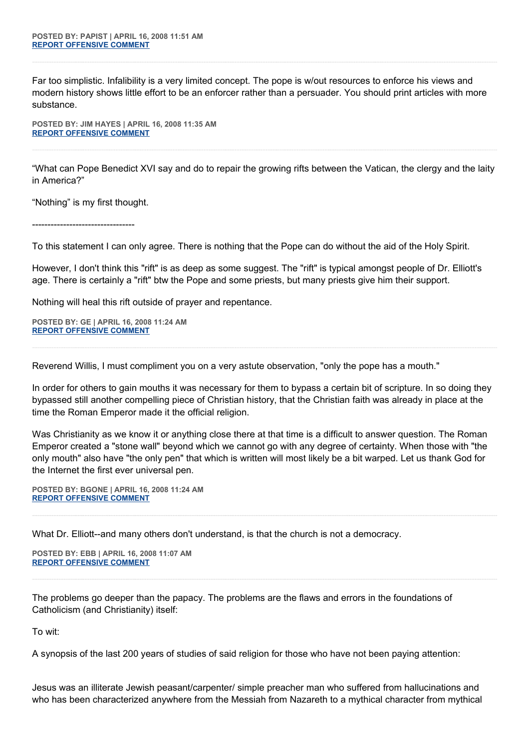Far too simplistic. Infalibility is a very limited concept. The pope is w/out resources to enforce his views and modern history shows little effort to be an enforcer rather than a persuader. You should print articles with more substance.

**POSTED BY: JIM HAYES | APRIL 16, 2008 11:35 AM [REPORT OFFENSIVE COMMENT](mailto:blogs@washingtonpost.com?subject=On%20Faith%20Panelists%20Blog%20%20%7C%20%20Jim%20Hayes%20%20%7C%20%20Benedict%20XVI:%20The%20Shows%20and%20the%20Rifts%20%20%7C%20%203163700&body=%0D%0D%0D%0D%0D================%0D?__mode=view%26_type=comment%26id=3163700%26blog_id=618)**

"What can Pope Benedict XVI say and do to repair the growing rifts between the Vatican, the clergy and the laity in America?"

"Nothing" is my first thought.

---------------------------------

To this statement I can only agree. There is nothing that the Pope can do without the aid of the Holy Spirit.

However, I don't think this "rift" is as deep as some suggest. The "rift" is typical amongst people of Dr. Elliott's age. There is certainly a "rift" btw the Pope and some priests, but many priests give him their support.

Nothing will heal this rift outside of prayer and repentance.

**POSTED BY: GE | APRIL 16, 2008 11:24 AM [REPORT OFFENSIVE COMMENT](mailto:blogs@washingtonpost.com?subject=On%20Faith%20Panelists%20Blog%20%20%7C%20%20GE%20%20%7C%20%20Benedict%20XVI:%20The%20Shows%20and%20the%20Rifts%20%20%7C%20%203163606&body=%0D%0D%0D%0D%0D================%0D?__mode=view%26_type=comment%26id=3163606%26blog_id=618)**

Reverend Willis, I must compliment you on a very astute observation, "only the pope has a mouth."

In order for others to gain mouths it was necessary for them to bypass a certain bit of scripture. In so doing they bypassed still another compelling piece of Christian history, that the Christian faith was already in place at the time the Roman Emperor made it the official religion.

Was Christianity as we know it or anything close there at that time is a difficult to answer question. The Roman Emperor created a "stone wall" beyond which we cannot go with any degree of certainty. When those with "the only mouth" also have "the only pen" that which is written will most likely be a bit warped. Let us thank God for the Internet the first ever universal pen.

**POSTED BY: BGONE | APRIL 16, 2008 11:24 AM [REPORT OFFENSIVE COMMENT](mailto:blogs@washingtonpost.com?subject=On%20Faith%20Panelists%20Blog%20%20%7C%20%20BGone%20%20%7C%20%20Benedict%20XVI:%20The%20Shows%20and%20the%20Rifts%20%20%7C%20%203163605&body=%0D%0D%0D%0D%0D================%0D?__mode=view%26_type=comment%26id=3163605%26blog_id=618)**

What Dr. Elliott--and many others don't understand, is that the church is not a democracy.

**POSTED BY: EBB | APRIL 16, 2008 11:07 AM [REPORT OFFENSIVE COMMENT](mailto:blogs@washingtonpost.com?subject=On%20Faith%20Panelists%20Blog%20%20%7C%20%20EBB%20%20%7C%20%20Benedict%20XVI:%20The%20Shows%20and%20the%20Rifts%20%20%7C%20%203163505&body=%0D%0D%0D%0D%0D================%0D?__mode=view%26_type=comment%26id=3163505%26blog_id=618)**

The problems go deeper than the papacy. The problems are the flaws and errors in the foundations of Catholicism (and Christianity) itself:

To wit:

A synopsis of the last 200 years of studies of said religion for those who have not been paying attention:

Jesus was an illiterate Jewish peasant/carpenter/ simple preacher man who suffered from hallucinations and who has been characterized anywhere from the Messiah from Nazareth to a mythical character from mythical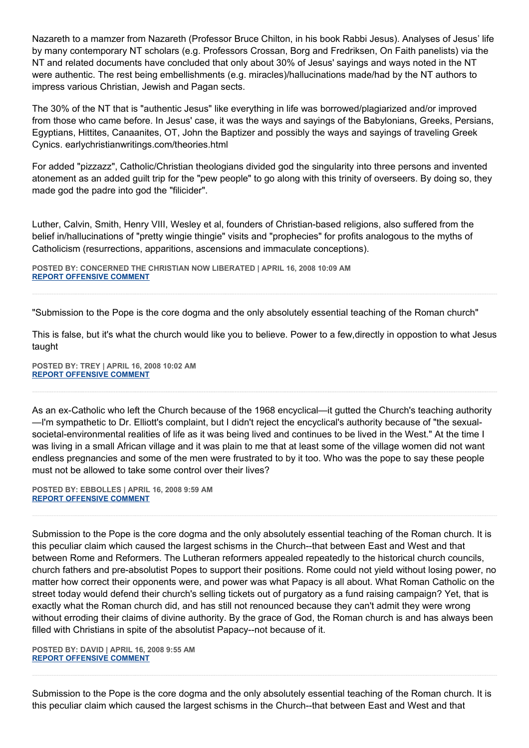Nazareth to a mamzer from Nazareth (Professor Bruce Chilton, in his book Rabbi Jesus). Analyses of Jesus' life by many contemporary NT scholars (e.g. Professors Crossan, Borg and Fredriksen, On Faith panelists) via the NT and related documents have concluded that only about 30% of Jesus' sayings and ways noted in the NT were authentic. The rest being embellishments (e.g. miracles)/hallucinations made/had by the NT authors to impress various Christian, Jewish and Pagan sects.

The 30% of the NT that is "authentic Jesus" like everything in life was borrowed/plagiarized and/or improved from those who came before. In Jesus' case, it was the ways and sayings of the Babylonians, Greeks, Persians, Egyptians, Hittites, Canaanites, OT, John the Baptizer and possibly the ways and sayings of traveling Greek Cynics. earlychristianwritings.com/theories.html

For added "pizzazz", Catholic/Christian theologians divided god the singularity into three persons and invented atonement as an added guilt trip for the "pew people" to go along with this trinity of overseers. By doing so, they made god the padre into god the "filicider".

Luther, Calvin, Smith, Henry VIII, Wesley et al, founders of Christian-based religions, also suffered from the belief in/hallucinations of "pretty wingie thingie" visits and "prophecies" for profits analogous to the myths of Catholicism (resurrections, apparitions, ascensions and immaculate conceptions).

**POSTED BY: CONCERNED THE CHRISTIAN NOW LIBERATED | APRIL 16, 2008 10:09 AM [REPORT OFFENSIVE COMMENT](mailto:blogs@washingtonpost.com?subject=On%20Faith%20Panelists%20Blog%20%20%7C%20%20Concerned%20The%20Christian%20Now%20Liberated%20%20%7C%20%20Benedict%20XVI:%20The%20Shows%20and%20the%20Rifts%20%20%7C%20%203162927&body=%0D%0D%0D%0D%0D================%0D?__mode=view%26_type=comment%26id=3162927%26blog_id=618)**

"Submission to the Pope is the core dogma and the only absolutely essential teaching of the Roman church"

This is false, but it's what the church would like you to believe. Power to a few,directly in oppostion to what Jesus taught

**POSTED BY: TREY | APRIL 16, 2008 10:02 AM [REPORT OFFENSIVE COMMENT](mailto:blogs@washingtonpost.com?subject=On%20Faith%20Panelists%20Blog%20%20%7C%20%20Trey%20%20%7C%20%20Benedict%20XVI:%20The%20Shows%20and%20the%20Rifts%20%20%7C%20%203162884&body=%0D%0D%0D%0D%0D================%0D?__mode=view%26_type=comment%26id=3162884%26blog_id=618)**

As an ex-Catholic who left the Church because of the 1968 encyclical—it gutted the Church's teaching authority —I'm sympathetic to Dr. Elliott's complaint, but I didn't reject the encyclical's authority because of "the sexualsocietal-environmental realities of life as it was being lived and continues to be lived in the West." At the time I was living in a small African village and it was plain to me that at least some of the village women did not want endless pregnancies and some of the men were frustrated to by it too. Who was the pope to say these people must not be allowed to take some control over their lives?

**POSTED BY: EBBOLLES | APRIL 16, 2008 9:59 AM [REPORT OFFENSIVE COMMENT](mailto:blogs@washingtonpost.com?subject=On%20Faith%20Panelists%20Blog%20%20%7C%20%20ebbolles%20%20%7C%20%20Benedict%20XVI:%20The%20Shows%20and%20the%20Rifts%20%20%7C%20%203162853&body=%0D%0D%0D%0D%0D================%0D?__mode=view%26_type=comment%26id=3162853%26blog_id=618)**

Submission to the Pope is the core dogma and the only absolutely essential teaching of the Roman church. It is this peculiar claim which caused the largest schisms in the Church--that between East and West and that between Rome and Reformers. The Lutheran reformers appealed repeatedly to the historical church councils, church fathers and pre-absolutist Popes to support their positions. Rome could not yield without losing power, no matter how correct their opponents were, and power was what Papacy is all about. What Roman Catholic on the street today would defend their church's selling tickets out of purgatory as a fund raising campaign? Yet, that is exactly what the Roman church did, and has still not renounced because they can't admit they were wrong without erroding their claims of divine authority. By the grace of God, the Roman church is and has always been filled with Christians in spite of the absolutist Papacy--not because of it.

**POSTED BY: DAVID | APRIL 16, 2008 9:55 AM [REPORT OFFENSIVE COMMENT](mailto:blogs@washingtonpost.com?subject=On%20Faith%20Panelists%20Blog%20%20%7C%20%20David%20%20%7C%20%20Benedict%20XVI:%20The%20Shows%20and%20the%20Rifts%20%20%7C%20%203162821&body=%0D%0D%0D%0D%0D================%0D?__mode=view%26_type=comment%26id=3162821%26blog_id=618)**

Submission to the Pope is the core dogma and the only absolutely essential teaching of the Roman church. It is this peculiar claim which caused the largest schisms in the Church--that between East and West and that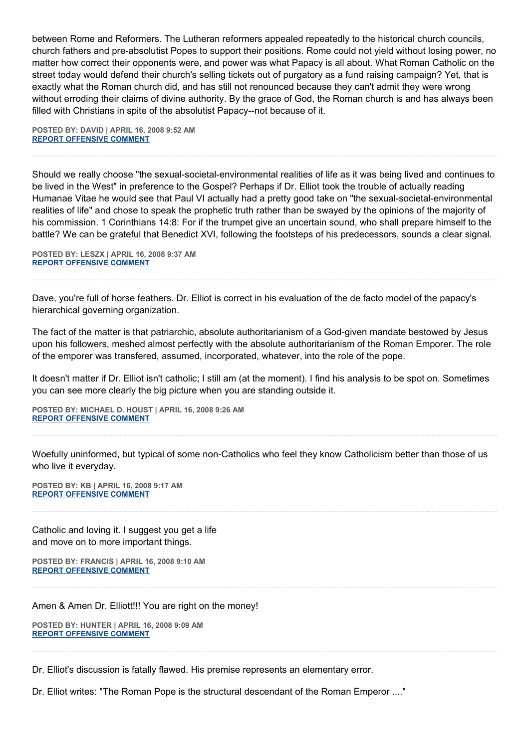between Rome and Reformers. The Lutheran reformers appealed repeatedly to the historical church councils, church fathers and pre-absolutist Popes to support their positions. Rome could not yield without losing power, no matter how correct their opponents were, and power was what Papacy is all about. What Roman Catholic on the street today would defend their church's selling tickets out of purgatory as a fund raising campaign? Yet, that is exactly what the Roman church did, and has still not renounced because they can't admit they were wrong without erroding their claims of divine authority. By the grace of God, the Roman church is and has always been filled with Christians in spite of the absolutist Papacy--not because of it.

**POSTED BY: DAVID | APRIL 16, 2008 9:52 AM [REPORT OFFENSIVE COMMENT](mailto:blogs@washingtonpost.com?subject=On%20Faith%20Panelists%20Blog%20%20%7C%20%20David%20%20%7C%20%20Benedict%20XVI:%20The%20Shows%20and%20the%20Rifts%20%20%7C%20%203162811&body=%0D%0D%0D%0D%0D================%0D?__mode=view%26_type=comment%26id=3162811%26blog_id=618)**

Should we really choose "the sexual-societal-environmental realities of life as it was being lived and continues to be lived in the West" in preference to the Gospel? Perhaps if Dr. Elliot took the trouble of actually reading Humanae Vitae he would see that Paul VI actually had a pretty good take on "the sexual-societal-environmental realities of life" and chose to speak the prophetic truth rather than be swayed by the opinions of the majority of his commission. 1 Corinthians 14:8: For if the trumpet give an uncertain sound, who shall prepare himself to the battle? We can be grateful that Benedict XVI, following the footsteps of his predecessors, sounds a clear signal.

**POSTED BY: LESZX | APRIL 16, 2008 9:37 AM [REPORT OFFENSIVE COMMENT](mailto:blogs@washingtonpost.com?subject=On%20Faith%20Panelists%20Blog%20%20%7C%20%20LeszX%20%20%7C%20%20Benedict%20XVI:%20The%20Shows%20and%20the%20Rifts%20%20%7C%20%203162705&body=%0D%0D%0D%0D%0D================%0D?__mode=view%26_type=comment%26id=3162705%26blog_id=618)**

Dave, you're full of horse feathers. Dr. Elliot is correct in his evaluation of the de facto model of the papacy's hierarchical governing organization.

The fact of the matter is that patriarchic, absolute authoritarianism of a God-given mandate bestowed by Jesus upon his followers, meshed almost perfectly with the absolute authoritarianism of the Roman Emporer. The role of the emporer was transfered, assumed, incorporated, whatever, into the role of the pope.

It doesn't matter if Dr. Elliot isn't catholic; I still am (at the moment). I find his analysis to be spot on. Sometimes you can see more clearly the big picture when you are standing outside it.

**POSTED BY: MICHAEL D. HOUST | APRIL 16, 2008 9:26 AM [REPORT OFFENSIVE COMMENT](mailto:blogs@washingtonpost.com?subject=On%20Faith%20Panelists%20Blog%20%20%7C%20%20Michael%20D.%20Houst%20%20%7C%20%20Benedict%20XVI:%20The%20Shows%20and%20the%20Rifts%20%20%7C%20%203162604&body=%0D%0D%0D%0D%0D================%0D?__mode=view%26_type=comment%26id=3162604%26blog_id=618)**

Woefully uninformed, but typical of some non-Catholics who feel they know Catholicism better than those of us who live it everyday.

**POSTED BY: KB | APRIL 16, 2008 9:17 AM [REPORT OFFENSIVE COMMENT](mailto:blogs@washingtonpost.com?subject=On%20Faith%20Panelists%20Blog%20%20%7C%20%20KB%20%20%7C%20%20Benedict%20XVI:%20The%20Shows%20and%20the%20Rifts%20%20%7C%20%203162522&body=%0D%0D%0D%0D%0D================%0D?__mode=view%26_type=comment%26id=3162522%26blog_id=618)**

Catholic and loving it. I suggest you get a life and move on to more important things.

**POSTED BY: FRANCIS | APRIL 16, 2008 9:10 AM [REPORT OFFENSIVE COMMENT](mailto:blogs@washingtonpost.com?subject=On%20Faith%20Panelists%20Blog%20%20%7C%20%20Francis%20%20%7C%20%20Benedict%20XVI:%20The%20Shows%20and%20the%20Rifts%20%20%7C%20%203162467&body=%0D%0D%0D%0D%0D================%0D?__mode=view%26_type=comment%26id=3162467%26blog_id=618)**

Amen & Amen Dr. Elliott!!! You are right on the money!

**POSTED BY: HUNTER | APRIL 16, 2008 9:09 AM [REPORT OFFENSIVE COMMENT](mailto:blogs@washingtonpost.com?subject=On%20Faith%20Panelists%20Blog%20%20%7C%20%20Hunter%20%20%7C%20%20Benedict%20XVI:%20The%20Shows%20and%20the%20Rifts%20%20%7C%20%203162456&body=%0D%0D%0D%0D%0D================%0D?__mode=view%26_type=comment%26id=3162456%26blog_id=618)**

Dr. Elliot's discussion is fatally flawed. His premise represents an elementary error.

Dr. Elliot writes: "The Roman Pope is the structural descendant of the Roman Emperor ...."